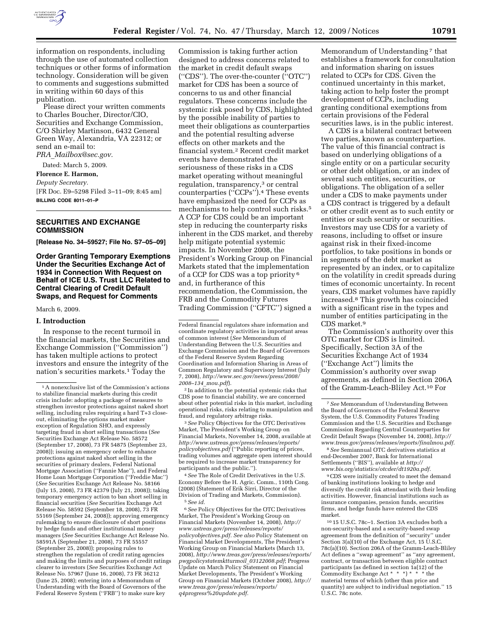

information on respondents, including through the use of automated collection techniques or other forms of information technology. Consideration will be given to comments and suggestions submitted in writing within 60 days of this publication.

Please direct your written comments to Charles Boucher, Director/CIO, Securities and Exchange Commission, C/O Shirley Martinson, 6432 General Green Way, Alexandria, VA 22312; or send an e-mail to: *PRA*\_*Mailbox@sec.gov.* 

Dated: March 5, 2009. **Florence E. Harmon,** 

# *Deputy Secretary.*

[FR Doc. E9–5298 Filed 3–11–09; 8:45 am] **BILLING CODE 8011–01–P** 

# **SECURITIES AND EXCHANGE COMMISSION**

**[Release No. 34–59527; File No. S7–05–09]** 

# **Order Granting Temporary Exemptions Under the Securities Exchange Act of 1934 in Connection With Request on Behalf of ICE U.S. Trust LLC Related to Central Clearing of Credit Default Swaps, and Request for Comments**

#### March 6, 2009.

#### **I. Introduction**

In response to the recent turmoil in the financial markets, the Securities and Exchange Commission (''Commission'') has taken multiple actions to protect investors and ensure the integrity of the nation's securities markets.1 Today the

Commission is taking further action designed to address concerns related to the market in credit default swaps (''CDS''). The over-the-counter (''OTC'') market for CDS has been a source of concerns to us and other financial regulators. These concerns include the systemic risk posed by CDS, highlighted by the possible inability of parties to meet their obligations as counterparties and the potential resulting adverse effects on other markets and the financial system.2 Recent credit market events have demonstrated the seriousness of these risks in a CDS market operating without meaningful regulation, transparency,<sup>3</sup> or central counterparties (''CCPs'').4 These events have emphasized the need for CCPs as mechanisms to help control such risks.5 A CCP for CDS could be an important step in reducing the counterparty risks inherent in the CDS market, and thereby help mitigate potential systemic impacts. In November 2008, the President's Working Group on Financial Markets stated that the implementation of a CCP for CDS was a top priority 6 and, in furtherance of this recommendation, the Commission, the FRB and the Commodity Futures Trading Commission (''CFTC'') signed a

2 In addition to the potential systemic risks that CDS pose to financial stability, we are concerned about other potential risks in this market, including operational risks, risks relating to manipulation and fraud, and regulatory arbitrage risks.

3*See* Policy Objectives for the OTC Derivatives Market, The President's Working Group on Financial Markets, November 14, 2008, available at *http://www.ustreas.gov/press/releases/reports/ policyobjectives.pdf* (''Public reporting of prices, trading volumes and aggregate open interest should be required to increase market transparency for participants and the public.'').

4*See* The Role of Credit Derivatives in the U.S. Economy Before the H. Agric. Comm., 110th Cong. (2008) (Statement of Erik Sirri, Director of the Division of Trading and Markets, Commission). 5*See id.* 

6*See* Policy Objectives for the OTC Derivatives Market, The President's Working Group on Financial Markets (November 14, 2008), *http:// www.ustreas.gov/press/releases/reports/ policyobjectives.pdf. See also* Policy Statement on Financial Market Developments, The President's Working Group on Financial Markets (March 13, 2008), *http://www.treas.gov/press/releases/reports/ pwgpolicystatemktturmoil*\_*03122008.pdf*; Progress Update on March Policy Statement on Financial Market Developments, The President's Working Group on Financial Markets (October 2008), *http:// www.treas.gov/press/releases/reports/ q4progress%20update.pdf.* 

Memorandum of Understanding<sup>7</sup> that establishes a framework for consultation and information sharing on issues related to CCPs for CDS. Given the continued uncertainty in this market, taking action to help foster the prompt development of CCPs, including granting conditional exemptions from certain provisions of the Federal securities laws, is in the public interest.

A CDS is a bilateral contract between two parties, known as counterparties. The value of this financial contract is based on underlying obligations of a single entity or on a particular security or other debt obligation, or an index of several such entities, securities, or obligations. The obligation of a seller under a CDS to make payments under a CDS contract is triggered by a default or other credit event as to such entity or entities or such security or securities. Investors may use CDS for a variety of reasons, including to offset or insure against risk in their fixed-income portfolios, to take positions in bonds or in segments of the debt market as represented by an index, or to capitalize on the volatility in credit spreads during times of economic uncertainty. In recent years, CDS market volumes have rapidly increased.8 This growth has coincided with a significant rise in the types and number of entities participating in the CDS market.9

The Commission's authority over this OTC market for CDS is limited. Specifically, Section 3A of the Securities Exchange Act of 1934 (''Exchange Act'') limits the Commission's authority over swap agreements, as defined in Section 206A of the Gramm-Leach-Bliley Act.10 For

8*See* Semiannual OTC derivatives statistics at end-December 2007, Bank for International Settlements (''BIS''), available at *http:// www.bis.org/statistics/otcder/dt1920a.pdf.* 

9CDS were initially created to meet the demand of banking institutions looking to hedge and diversify the credit risk attendant with their lending activities. However, financial institutions such as insurance companies, pension funds, securities firms, and hedge funds have entered the CDS market.

10 15 U.S.C. 78c–1. Section 3A excludes both a non-security-based and a security-based swap agreement from the definition of ''security'' under Section 3(a)(10) of the Exchange Act, 15 U.S.C. 78c(a)(10). Section 206A of the Gramm-Leach-Bliley Act defines a ''swap agreement'' as ''any agreement, contract, or transaction between eligible contract participants (as defined in section 1a(12) of the Commodity Exchange Act \* \* \*) \* \* \* the material terms of which (other than price and quantity) are subject to individual negotiation.'' 15 U.S.C. 78c note.

<sup>1</sup>A nonexclusive list of the Commission's actions to stabilize financial markets during this credit crisis include: adopting a package of measures to strengthen investor protections against naked short selling, including rules requiring a hard T+3 closeout, eliminating the options market maker exception of Regulation SHO, and expressly targeting fraud in short selling transactions (*See*  Securities Exchange Act Release No. 58572 (September 17, 2008), 73 FR 54875 (September 23, 2008)); issuing an emergency order to enhance protections against naked short selling in the securities of primary dealers, Federal National Mortgage Association (''Fannie Mae''), and Federal Home Loan Mortgage Corporation (''Freddie Mac'') (*See* Securities Exchange Act Release No. 58166 (July 15, 2008), 73 FR 42379 (July 21, 2008)); taking temporary emergency action to ban short selling in financial securities (*See* Securities Exchange Act Release No. 58592 (September 18, 2008), 73 FR 55169 (September 24, 2008)); approving emergency rulemaking to ensure disclosure of short positions by hedge funds and other institutional money managers (*See* Securities Exchange Act Release No. 58591A (September 21, 2008), 73 FR 55557 (September 25, 2008)); proposing rules to strengthen the regulation of credit rating agencies and making the limits and purposes of credit ratings clearer to investors (*See* Securities Exchange Act Release No. 57967 (June 16, 2008), 73 FR 36212 (June 25, 2008); entering into a Memorandum of Understanding with the Board of Governors of the Federal Reserve System (''FRB'') to make sure key

Federal financial regulators share information and coordinate regulatory activities in important areas of common interest (*See* Memorandum of Understanding Between the U.S. Securities and Exchange Commission and the Board of Governors of the Federal Reserve System Regarding Coordination and Information Sharing in Areas of Common Regulatory and Supervisory Interest (July 7, 2008), *http://www.sec.gov/news/press/2008/ 2008–134*\_*mou.pdf*).

<sup>7</sup>*See* Memorandum of Understanding Between the Board of Governors of the Federal Reserve System, the U.S. Commodity Futures Trading Commission and the U.S. Securities and Exchange Commission Regarding Central Counterparties for Credit Default Swaps (November 14, 2008), *http:// www.treas.gov/press/releases/reports/finalmou.pdf.*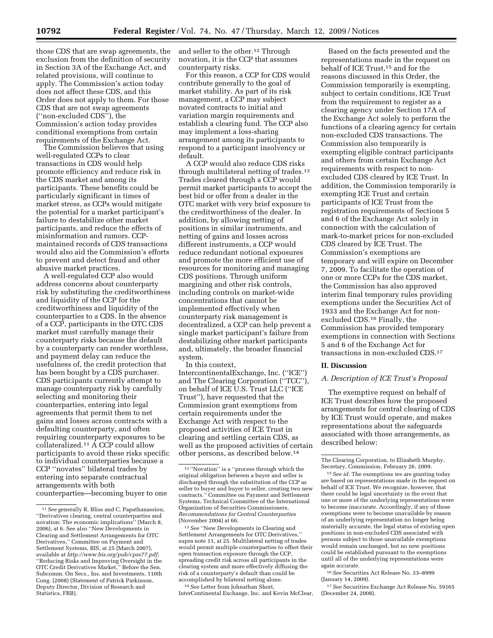those CDS that are swap agreements, the exclusion from the definition of security in Section 3A of the Exchange Act, and related provisions, will continue to apply. The Commission's action today does not affect these CDS, and this Order does not apply to them. For those CDS that are not swap agreements (''non-excluded CDS''), the Commission's action today provides conditional exemptions from certain requirements of the Exchange Act.

The Commission believes that using well-regulated CCPs to clear transactions in CDS would help promote efficiency and reduce risk in the CDS market and among its participants. These benefits could be particularly significant in times of market stress, as CCPs would mitigate the potential for a market participant's failure to destabilize other market participants, and reduce the effects of misinformation and rumors. CCPmaintained records of CDS transactions would also aid the Commission's efforts to prevent and detect fraud and other abusive market practices.

A well-regulated CCP also would address concerns about counterparty risk by substituting the creditworthiness and liquidity of the CCP for the creditworthiness and liquidity of the counterparties to a CDS. In the absence of a CCP, participants in the OTC CDS market must carefully manage their counterparty risks because the default by a counterparty can render worthless, and payment delay can reduce the usefulness of, the credit protection that has been bought by a CDS purchaser. CDS participants currently attempt to manage counterparty risk by carefully selecting and monitoring their counterparties, entering into legal agreements that permit them to net gains and losses across contracts with a defaulting counterparty, and often requiring counterparty exposures to be collateralized.11 A CCP could allow participants to avoid these risks specific to individual counterparties because a CCP ''novates'' bilateral trades by entering into separate contractual arrangements with both counterparties—becoming buyer to one

and seller to the other.12 Through novation, it is the CCP that assumes counterparty risks.

For this reason, a CCP for CDS would contribute generally to the goal of market stability. As part of its risk management, a CCP may subject novated contracts to initial and variation margin requirements and establish a clearing fund. The CCP also may implement a loss-sharing arrangement among its participants to respond to a participant insolvency or default.

A CCP would also reduce CDS risks through multilateral netting of trades.13 Trades cleared through a CCP would permit market participants to accept the best bid or offer from a dealer in the OTC market with very brief exposure to the creditworthiness of the dealer. In addition, by allowing netting of positions in similar instruments, and netting of gains and losses across different instruments, a CCP would reduce redundant notional exposures and promote the more efficient use of resources for monitoring and managing CDS positions. Through uniform margining and other risk controls, including controls on market-wide concentrations that cannot be implemented effectively when counterparty risk management is decentralized, a CCP can help prevent a single market participant's failure from destabilizing other market participants and, ultimately, the broader financial system.

In this context, IntercontinentalExchange, Inc. (''ICE'') and The Clearing Corporation (''TCC''), on behalf of ICE U.S. Trust LLC (''ICE Trust''), have requested that the Commission grant exemptions from certain requirements under the Exchange Act with respect to the proposed activities of ICE Trust in clearing and settling certain CDS, as well as the proposed activities of certain other persons, as described below.14

14*See* Letter from Johnathan Short, InterContinental Exchange, Inc. and Kevin McClear,

Based on the facts presented and the representations made in the request on behalf of ICE Trust,15 and for the reasons discussed in this Order, the Commission temporarily is exempting, subject to certain conditions, ICE Trust from the requirement to register as a clearing agency under Section 17A of the Exchange Act solely to perform the functions of a clearing agency for certain non-excluded CDS transactions. The Commission also temporarily is exempting eligible contract participants and others from certain Exchange Act requirements with respect to nonexcluded CDS cleared by ICE Trust. In addition, the Commission temporarily is exempting ICE Trust and certain participants of ICE Trust from the registration requirements of Sections 5 and 6 of the Exchange Act solely in connection with the calculation of mark-to-market prices for non-excluded CDS cleared by ICE Trust. The Commission's exemptions are temporary and will expire on December 7, 2009. To facilitate the operation of one or more CCPs for the CDS market, the Commission has also approved interim final temporary rules providing exemptions under the Securities Act of 1933 and the Exchange Act for nonexcluded CDS.16 Finally, the Commission has provided temporary exemptions in connection with Sections 5 and 6 of the Exchange Act for transactions in non-excluded CDS.17

# **II. Discussion**

### *A. Description of ICE Trust's Proposal*

The exemptive request on behalf of ICE Trust describes how the proposed arrangements for central clearing of CDS by ICE Trust would operate, and makes representations about the safeguards associated with those arrangements, as described below:

16*See* Securities Act Release No. 33–8999 (January 14, 2009).

17*See* Securities Exchange Act Release No. 59165 (December 24, 2008).

<sup>11</sup>*See* generally R. Bliss and C. Papathanassiou, ''Derivatives clearing, central counterparties and novation: The economic implications'' (March 8, 2006), at 6. See also ''New Developments in Clearing and Settlement Arrangements for OTC Derivatives,'' Committee on Payment and Settlement Systems, BIS, at 25 (March 2007), available at *http://www.bis.org/pub/cpss77.pdf;*  ''Reducing Risks and Improving Oversight in the OTC Credit Derivatives Market,'' Before the Sen. Subcomm. On Secs., Ins. and Investments, 110th Cong. (2008) (Statement of Patrick Parkinson, Deputy Director, Division of Research and Statistics, FRB).

 $^{\rm 12\, \prime\prime}$  Novation" is a ''process through which the original obligation between a buyer and seller is discharged through the substitution of the CCP as seller to buyer and buyer to seller, creating two new contracts.'' Committee on Payment and Settlement Systems, Technical Committee of the International Organization of Securities Commissioners, *Recommendations for Central Counterparties*  (November 2004) at 66.

<sup>13</sup>*See* ''New Developments in Clearing and Settlement Arrangements for OTC Derivatives,'' supra note 11, at 25. Multilateral netting of trades would permit multiple counterparties to offset their open transaction exposure through the CCP, spreading credit risk across all participants in the clearing system and more effectively diffusing the risk of a counterparty's default than could be accomplished by bilateral netting alone.

The Clearing Corporation, to Elizabeth Murphy, Secretary, Commission, February 26, 2009.

<sup>15</sup>*See id.* The exemptions we are granting today are based on representations made in the request on behalf of ICE Trust. We recognize, however, that there could be legal uncertainty in the event that one or more of the underlying representations were to become inaccurate. Accordingly, if any of these exemptions were to become unavailable by reason of an underlying representation no longer being materially accurate, the legal status of existing open positions in non-excluded CDS associated with persons subject to those unavailable exemptions would remain unchanged, but no new positions could be established pursuant to the exemptions until all of the underlying representations were again accurate.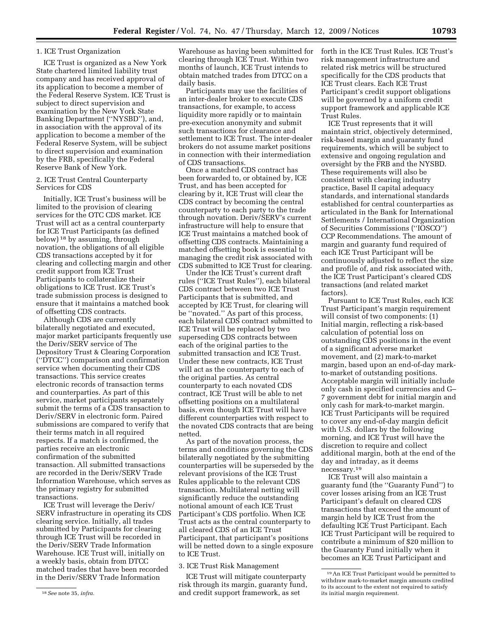# 1. ICE Trust Organization

ICE Trust is organized as a New York State chartered limited liability trust company and has received approval of its application to become a member of the Federal Reserve System. ICE Trust is subject to direct supervision and examination by the New York State Banking Department (''NYSBD''), and, in association with the approval of its application to become a member of the Federal Reserve System, will be subject to direct supervision and examination by the FRB, specifically the Federal Reserve Bank of New York.

### 2. ICE Trust Central Counterparty Services for CDS

Initially, ICE Trust's business will be limited to the provision of clearing services for the OTC CDS market. ICE Trust will act as a central counterparty for ICE Trust Participants (as defined below) 18 by assuming, through novation, the obligations of all eligible CDS transactions accepted by it for clearing and collecting margin and other credit support from ICE Trust Participants to collateralize their obligations to ICE Trust. ICE Trust's trade submission process is designed to ensure that it maintains a matched book of offsetting CDS contracts.

Although CDS are currently bilaterally negotiated and executed, major market participants frequently use the Deriv/SERV service of The Depository Trust & Clearing Corporation (''DTCC'') comparison and confirmation service when documenting their CDS transactions. This service creates electronic records of transaction terms and counterparties. As part of this service, market participants separately submit the terms of a CDS transaction to Deriv/SERV in electronic form. Paired submissions are compared to verify that their terms match in all required respects. If a match is confirmed, the parties receive an electronic confirmation of the submitted transaction. All submitted transactions are recorded in the Deriv/SERV Trade Information Warehouse, which serves as the primary registry for submitted transactions.

ICE Trust will leverage the Deriv/ SERV infrastructure in operating its CDS clearing service. Initially, all trades submitted by Participants for clearing through ICE Trust will be recorded in the Deriv/SERV Trade Information Warehouse. ICE Trust will, initially on a weekly basis, obtain from DTCC matched trades that have been recorded in the Deriv/SERV Trade Information

Warehouse as having been submitted for clearing through ICE Trust. Within two months of launch, ICE Trust intends to obtain matched trades from DTCC on a daily basis.

Participants may use the facilities of an inter-dealer broker to execute CDS transactions, for example, to access liquidity more rapidly or to maintain pre-execution anonymity and submit such transactions for clearance and settlement to ICE Trust. The inter-dealer brokers do not assume market positions in connection with their intermediation of CDS transactions.

Once a matched CDS contract has been forwarded to, or obtained by, ICE Trust, and has been accepted for clearing by it, ICE Trust will clear the CDS contract by becoming the central counterparty to each party to the trade through novation. Deriv/SERV's current infrastructure will help to ensure that ICE Trust maintains a matched book of offsetting CDS contracts. Maintaining a matched offsetting book is essential to managing the credit risk associated with CDS submitted to ICE Trust for clearing.

Under the ICE Trust's current draft rules (''ICE Trust Rules''), each bilateral CDS contract between two ICE Trust Participants that is submitted, and accepted by ICE Trust, for clearing will be ''novated.'' As part of this process, each bilateral CDS contract submitted to ICE Trust will be replaced by two superseding CDS contracts between each of the original parties to the submitted transaction and ICE Trust. Under these new contracts, ICE Trust will act as the counterparty to each of the original parties. As central counterparty to each novated CDS contract, ICE Trust will be able to net offsetting positions on a multilateral basis, even though ICE Trust will have different counterparties with respect to the novated CDS contracts that are being netted.

As part of the novation process, the terms and conditions governing the CDS bilaterally negotiated by the submitting counterparties will be superseded by the relevant provisions of the ICE Trust Rules applicable to the relevant CDS transaction. Multilateral netting will significantly reduce the outstanding notional amount of each ICE Trust Participant's CDS portfolio. When ICE Trust acts as the central counterparty to all cleared CDS of an ICE Trust Participant, that participant's positions will be netted down to a single exposure to ICE Trust.

# 3. ICE Trust Risk Management

ICE Trust will mitigate counterparty risk through its margin, guaranty fund, and credit support framework, as set

forth in the ICE Trust Rules. ICE Trust's risk management infrastructure and related risk metrics will be structured specifically for the CDS products that ICE Trust clears. Each ICE Trust Participant's credit support obligations will be governed by a uniform credit support framework and applicable ICE Trust Rules.

ICE Trust represents that it will maintain strict, objectively determined, risk-based margin and guaranty fund requirements, which will be subject to extensive and ongoing regulation and oversight by the FRB and the NYSBD. These requirements will also be consistent with clearing industry practice, Basel II capital adequacy standards, and international standards established for central counterparties as articulated in the Bank for International Settlements / International Organization of Securities Commissions (''IOSCO'') CCP Recommendations. The amount of margin and guaranty fund required of each ICE Trust Participant will be continuously adjusted to reflect the size and profile of, and risk associated with, the ICE Trust Participant's cleared CDS transactions (and related market factors).

Pursuant to ICE Trust Rules, each ICE Trust Participant's margin requirement will consist of two components: (1) Initial margin, reflecting a risk-based calculation of potential loss on outstanding CDS positions in the event of a significant adverse market movement, and (2) mark-to-market margin, based upon an end-of-day markto-market of outstanding positions. Acceptable margin will initially include only cash in specified currencies and G– 7 government debt for initial margin and only cash for mark-to-market margin. ICE Trust Participants will be required to cover any end-of-day margin deficit with U.S. dollars by the following morning, and ICE Trust will have the discretion to require and collect additional margin, both at the end of the day and intraday, as it deems necessary.19

ICE Trust will also maintain a guaranty fund (the ''Guaranty Fund'') to cover losses arising from an ICE Trust Participant's default on cleared CDS transactions that exceed the amount of margin held by ICE Trust from the defaulting ICE Trust Participant. Each ICE Trust Participant will be required to contribute a minimum of \$20 million to the Guaranty Fund initially when it becomes an ICE Trust Participant and

<sup>18</sup>*See* note 35, *infra.* 

<sup>19</sup>An ICE Trust Participant would be permitted to withdraw mark-to-market margin amounts credited to its account to the extent not required to satisfy its initial margin requirement.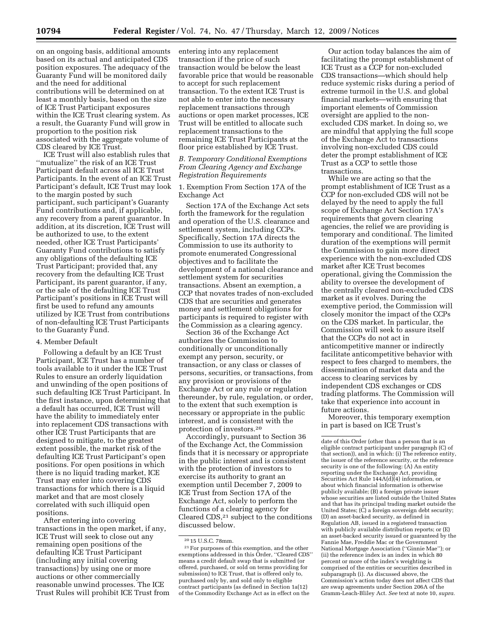on an ongoing basis, additional amounts based on its actual and anticipated CDS position exposures. The adequacy of the Guaranty Fund will be monitored daily and the need for additional contributions will be determined on at least a monthly basis, based on the size of ICE Trust Participant exposures within the ICE Trust clearing system. As a result, the Guaranty Fund will grow in proportion to the position risk

associated with the aggregate volume of CDS cleared by ICE Trust. ICE Trust will also establish rules that ''mutualize'' the risk of an ICE Trust Participant default across all ICE Trust Participants. In the event of an ICE Trust Participant's default, ICE Trust may look to the margin posted by such participant, such participant's Guaranty Fund contributions and, if applicable, any recovery from a parent guarantor. In addition, at its discretion, ICE Trust will be authorized to use, to the extent needed, other ICE Trust Participants' Guaranty Fund contributions to satisfy any obligations of the defaulting ICE Trust Participant; provided that, any recovery from the defaulting ICE Trust Participant, its parent guarantor, if any, or the sale of the defaulting ICE Trust Participant's positions in ICE Trust will first be used to refund any amounts utilized by ICE Trust from contributions of non-defaulting ICE Trust Participants to the Guaranty Fund.

### 4. Member Default

Following a default by an ICE Trust Participant, ICE Trust has a number of tools available to it under the ICE Trust Rules to ensure an orderly liquidation and unwinding of the open positions of such defaulting ICE Trust Participant. In the first instance, upon determining that a default has occurred, ICE Trust will have the ability to immediately enter into replacement CDS transactions with other ICE Trust Participants that are designed to mitigate, to the greatest extent possible, the market risk of the defaulting ICE Trust Participant's open positions. For open positions in which there is no liquid trading market, ICE Trust may enter into covering CDS transactions for which there is a liquid market and that are most closely correlated with such illiquid open positions.

After entering into covering transactions in the open market, if any, ICE Trust will seek to close out any remaining open positions of the defaulting ICE Trust Participant (including any initial covering transactions) by using one or more auctions or other commercially reasonable unwind processes. The ICE Trust Rules will prohibit ICE Trust from entering into any replacement transaction if the price of such transaction would be below the least favorable price that would be reasonable to accept for such replacement transaction. To the extent ICE Trust is not able to enter into the necessary replacement transactions through auctions or open market processes, ICE Trust will be entitled to allocate such replacement transactions to the remaining ICE Trust Participants at the floor price established by ICE Trust.

*B. Temporary Conditional Exemptions From Clearing Agency and Exchange Registration Requirements* 

1. Exemption From Section 17A of the Exchange Act

Section 17A of the Exchange Act sets forth the framework for the regulation and operation of the U.S. clearance and settlement system, including CCPs. Specifically, Section 17A directs the Commission to use its authority to promote enumerated Congressional objectives and to facilitate the development of a national clearance and settlement system for securities transactions. Absent an exemption, a CCP that novates trades of non-excluded CDS that are securities and generates money and settlement obligations for participants is required to register with the Commission as a clearing agency.

Section 36 of the Exchange Act authorizes the Commission to conditionally or unconditionally exempt any person, security, or transaction, or any class or classes of persons, securities, or transactions, from any provision or provisions of the Exchange Act or any rule or regulation thereunder, by rule, regulation, or order, to the extent that such exemption is necessary or appropriate in the public interest, and is consistent with the protection of investors.20

Accordingly, pursuant to Section 36 of the Exchange Act, the Commission finds that it is necessary or appropriate in the public interest and is consistent with the protection of investors to exercise its authority to grant an exemption until December 7, 2009 to ICE Trust from Section 17A of the Exchange Act, solely to perform the functions of a clearing agency for Cleared CDS,21 subject to the conditions discussed below.

21For purposes of this exemption, and the other exemptions addressed in this Order, ''Cleared CDS'' means a credit default swap that is submitted (or offered, purchased, or sold on terms providing for submission) to ICE Trust, that is offered only to, purchased only by, and sold only to eligible contract participants (as defined in Section 1a(12) of the Commodity Exchange Act as in effect on the

Our action today balances the aim of facilitating the prompt establishment of ICE Trust as a CCP for non-excluded CDS transactions—which should help reduce systemic risks during a period of extreme turmoil in the U.S. and global financial markets—with ensuring that important elements of Commission oversight are applied to the nonexcluded CDS market. In doing so, we are mindful that applying the full scope of the Exchange Act to transactions involving non-excluded CDS could deter the prompt establishment of ICE Trust as a CCP to settle those transactions.

While we are acting so that the prompt establishment of ICE Trust as a CCP for non-excluded CDS will not be delayed by the need to apply the full scope of Exchange Act Section 17A's requirements that govern clearing agencies, the relief we are providing is temporary and conditional. The limited duration of the exemptions will permit the Commission to gain more direct experience with the non-excluded CDS market after ICE Trust becomes operational, giving the Commission the ability to oversee the development of the centrally cleared non-excluded CDS market as it evolves. During the exemptive period, the Commission will closely monitor the impact of the CCPs on the CDS market. In particular, the Commission will seek to assure itself that the CCPs do not act in anticompetitive manner or indirectly facilitate anticompetitive behavior with respect to fees charged to members, the dissemination of market data and the access to clearing services by independent CDS exchanges or CDS trading platforms. The Commission will take that experience into account in future actions.

Moreover, this temporary exemption in part is based on ICE Trust's

date of this Order (other than a person that is an eligible contract participant under paragraph (C) of that section)), and in which: (i) The reference entity, the issuer of the reference security, or the reference security is one of the following: (A) An entity reporting under the Exchange Act, providing Securities Act Rule 144A(d)(4) information, or about which financial information is otherwise publicly available; (B) a foreign private issuer whose securities are listed outside the United States and that has its principal trading market outside the United States; (C) a foreign sovereign debt security; (D) an asset-backed security, as defined in Regulation AB, issued in a registered transaction with publicly available distribution reports; or (E) an asset-backed security issued or guaranteed by the Fannie Mae, Freddie Mac or the Government National Mortgage Association (''Ginnie Mae''); or (ii) the reference index is an index in which 80 percent or more of the index's weighting is comprised of the entities or securities described in subparagraph (i). As discussed above, the Commission's action today does not affect CDS that are swap agreements under Section 206A of the Gramm-Leach-Bliley Act. *See* text at note 10, *supra.* 

<sup>20</sup> 15 U.S.C. 78mm.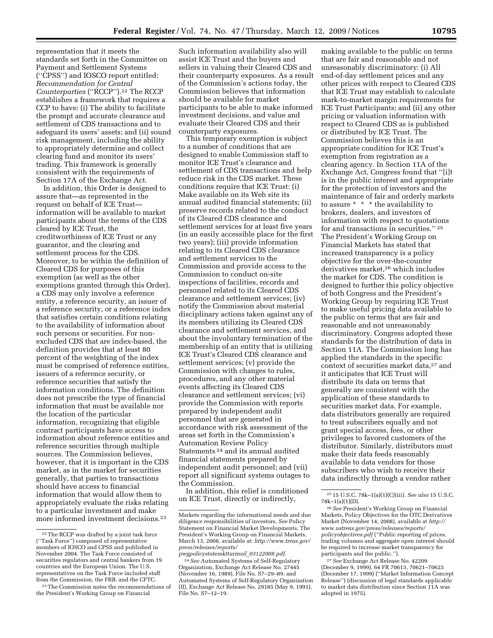representation that it meets the standards set forth in the Committee on Payment and Settlement Systems (''CPSS'') and IOSCO report entitled: *Recommendation for Central Counterparties* (''RCCP'').22 The RCCP establishes a framework that requires a CCP to have: (i) The ability to facilitate the prompt and accurate clearance and settlement of CDS transactions and to safeguard its users' assets; and (ii) sound risk management, including the ability to appropriately determine and collect clearing fund and monitor its users' trading. This framework is generally consistent with the requirements of Section 17A of the Exchange Act.

In addition, this Order is designed to assure that—as represented in the request on behalf of ICE Trust information will be available to market participants about the terms of the CDS cleared by ICE Trust, the creditworthiness of ICE Trust or any guarantor, and the clearing and settlement process for the CDS. Moreover, to be within the definition of Cleared CDS for purposes of this exemption (as well as the other exemptions granted through this Order), a CDS may only involve a reference entity, a reference security, an issuer of a reference security, or a reference index that satisfies certain conditions relating to the availability of information about such persons or securities. For nonexcluded CDS that are index-based, the definition provides that at least 80 percent of the weighting of the index must be comprised of reference entities, issuers of a reference security, or reference securities that satisfy the information conditions. The definition does not prescribe the type of financial information that must be available nor the location of the particular information, recognizing that eligible contract participants have access to information about reference entities and reference securities through multiple sources. The Commission believes, however, that it is important in the CDS market, as in the market for securities generally, that parties to transactions should have access to financial information that would allow them to appropriately evaluate the risks relating to a particular investment and make more informed investment decisions.23

Such information availability also will assist ICE Trust and the buyers and sellers in valuing their Cleared CDS and their counterparty exposures. As a result of the Commission's actions today, the Commission believes that information should be available for market participants to be able to make informed investment decisions, and value and evaluate their Cleared CDS and their counterparty exposures.

This temporary exemption is subject to a number of conditions that are designed to enable Commission staff to monitor ICE Trust's clearance and settlement of CDS transactions and help reduce risk in the CDS market. These conditions require that ICE Trust: (i) Make available on its Web site its annual audited financial statements; (ii) preserve records related to the conduct of its Cleared CDS clearance and settlement services for at least five years (in an easily accessible place for the first two years); (iii) provide information relating to its Cleared CDS clearance and settlement services to the Commission and provide access to the Commission to conduct on-site inspections of facilities, records and personnel related to its Cleared CDS clearance and settlement services; (iv) notify the Commission about material disciplinary actions taken against any of its members utilizing its Cleared CDS clearance and settlement services, and about the involuntary termination of the membership of an entity that is utilizing ICE Trust's Cleared CDS clearance and settlement services; (v) provide the Commission with changes to rules, procedures, and any other material events affecting its Cleared CDS clearance and settlement services; (vi) provide the Commission with reports prepared by independent audit personnel that are generated in accordance with risk assessment of the areas set forth in the Commission's Automation Review Policy Statements 24 and its annual audited financial statements prepared by independent audit personnel; and (vii) report all significant systems outages to the Commission.

In addition, this relief is conditioned on ICE Trust, directly or indirectly,

making available to the public on terms that are fair and reasonable and not unreasonably discriminatory: (i) All end-of-day settlement prices and any other prices with respect to Cleared CDS that ICE Trust may establish to calculate mark-to-market margin requirements for ICE Trust Participants; and (ii) any other pricing or valuation information with respect to Cleared CDS as is published or distributed by ICE Trust. The Commission believes this is an appropriate condition for ICE Trust's exemption from registration as a clearing agency. In Section 11A of the Exchange Act, Congress found that ''[i]t is in the public interest and appropriate for the protection of investors and the maintenance of fair and orderly markets to assure \* \* \* the availability to brokers, dealers, and investors of information with respect to quotations for and transactions in securities.'' 25 The President's Working Group on Financial Markets has stated that increased transparency is a policy objective for the over-the-counter derivatives market,<sup>26</sup> which includes the market for CDS. The condition is designed to further this policy objective of both Congress and the President's Working Group by requiring ICE Trust to make useful pricing data available to the public on terms that are fair and reasonable and not unreasonably discriminatory. Congress adopted these standards for the distribution of data in Section 11A. The Commission long has applied the standards in the specific context of securities market data,<sup>27</sup> and it anticipates that ICE Trust will distribute its data on terms that generally are consistent with the application of these standards to securities market data. For example, data distributors generally are required to treat subscribers equally and not grant special access, fees, or other privileges to favored customers of the distributor. Similarly, distributors must make their data feeds reasonably available to data vendors for those subscribers who wish to receive their data indirectly through a vendor rather

<sup>22</sup>The RCCP was drafted by a joint task force (''Task Force'') composed of representative members of IOSCO and CPSS and published in November 2004. The Task Force consisted of securities regulators and central bankers from 19 countries and the European Union. The U.S. representatives on the Task Force included staff from the Commission, the FRB, and the CFTC.

<sup>23</sup>The Commission notes the recommendations of the President's Working Group on Financial

Markets regarding the informational needs and due diligence responsibilities of investors. *See* Policy Statement on Financial Market Developments, The President's Working Group on Financial Markets, March 13, 2008, available at: *http://www.treas.gov/ press/releases/reports/ pwgpolicystatemktturmoil*\_*03122008.pdf*.

<sup>24</sup>*See* Automated Systems of Self-Regulatory Organization, Exchange Act Release No. 27445 (November 16, 1989), File No. S7–29–89, and Automated Systems of Self-Regulatory Organization (II), Exchange Act Release No. 29185 (May 9, 1991), File No. S7–12–19.

<sup>25</sup> 15 U.S.C. 78k–1(a)(1)(C)(iii). *See also* 15 U.S.C. 78k–1(a)(1)(D).

<sup>26</sup>*See* President's Working Group on Financial Markets, Policy Objectives for the OTC Derivatives Market (November 14, 2008), available at *http:// www.ustreas.gov/press/releases/reports/ policyobjectives.pdf* (''Public reporting of prices, trading volumes and aggregate open interest should be required to increase market transparency for participants and the public.'').

<sup>27</sup>*See* Exchange Act Release No. 42209 (December 9, 1999), 64 FR 70613, 70621–70623 (December 17, 1999) (''Market Information Concept Release'') (discussion of legal standards applicable to market data distribution since Section 11A was adopted in 1975).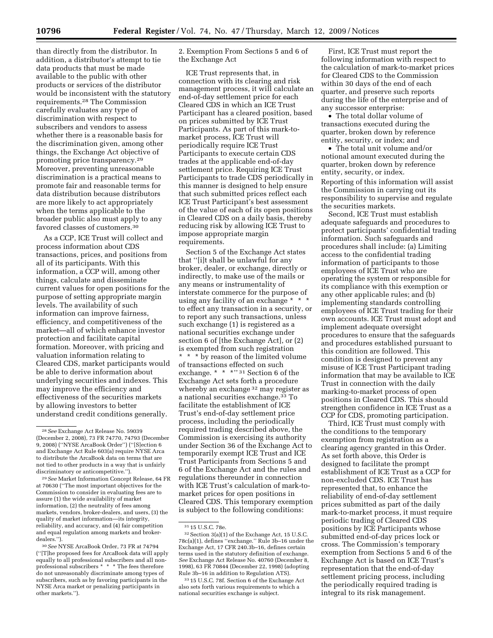than directly from the distributor. In addition, a distributor's attempt to tie data products that must be made available to the public with other products or services of the distributor would be inconsistent with the statutory requirements.28 The Commission carefully evaluates any type of discrimination with respect to subscribers and vendors to assess whether there is a reasonable basis for the discrimination given, among other things, the Exchange Act objective of promoting price transparency.29 Moreover, preventing unreasonable discrimination is a practical means to promote fair and reasonable terms for data distribution because distributors are more likely to act appropriately when the terms applicable to the broader public also must apply to any favored classes of customers.30

As a CCP, ICE Trust will collect and process information about CDS transactions, prices, and positions from all of its participants. With this information, a CCP will, among other things, calculate and disseminate current values for open positions for the purpose of setting appropriate margin levels. The availability of such information can improve fairness, efficiency, and competitiveness of the market—all of which enhance investor protection and facilitate capital formation. Moreover, with pricing and valuation information relating to Cleared CDS, market participants would be able to derive information about underlying securities and indexes. This may improve the efficiency and effectiveness of the securities markets by allowing investors to better understand credit conditions generally.

2. Exemption From Sections 5 and 6 of the Exchange Act

ICE Trust represents that, in connection with its clearing and risk management process, it will calculate an end-of-day settlement price for each Cleared CDS in which an ICE Trust Participant has a cleared position, based on prices submitted by ICE Trust Participants. As part of this mark-tomarket process, ICE Trust will periodically require ICE Trust Participants to execute certain CDS trades at the applicable end-of-day settlement price. Requiring ICE Trust Participants to trade CDS periodically in this manner is designed to help ensure that such submitted prices reflect each ICE Trust Participant's best assessment of the value of each of its open positions in Cleared CDS on a daily basis, thereby reducing risk by allowing ICE Trust to impose appropriate margin requirements.

Section 5 of the Exchange Act states that ''[i]t shall be unlawful for any broker, dealer, or exchange, directly or indirectly, to make use of the mails or any means or instrumentality of interstate commerce for the purpose of using any facility of an exchange \* \* \* to effect any transaction in a security, or to report any such transactions, unless such exchange (1) is registered as a national securities exchange under section 6 of [the Exchange Act], or (2) is exempted from such registration \* \* \* by reason of the limited volume of transactions effected on such exchange. \* \* \* \* 31 Section 6 of the Exchange Act sets forth a procedure whereby an exchange <sup>32</sup> may register as a national securities exchange.33 To facilitate the establishment of ICE Trust's end-of-day settlement price process, including the periodically required trading described above, the Commission is exercising its authority under Section 36 of the Exchange Act to temporarily exempt ICE Trust and ICE Trust Participants from Sections 5 and 6 of the Exchange Act and the rules and regulations thereunder in connection with ICE Trust's calculation of mark-tomarket prices for open positions in Cleared CDS. This temporary exemption is subject to the following conditions:

First, ICE Trust must report the following information with respect to the calculation of mark-to-market prices for Cleared CDS to the Commission within 30 days of the end of each quarter, and preserve such reports during the life of the enterprise and of any successor enterprise:

• The total dollar volume of transactions executed during the quarter, broken down by reference entity, security, or index; and

• The total unit volume and/or notional amount executed during the quarter, broken down by reference entity, security, or index.

Reporting of this information will assist the Commission in carrying out its responsibility to supervise and regulate the securities markets.

Second, ICE Trust must establish adequate safeguards and procedures to protect participants' confidential trading information. Such safeguards and procedures shall include: (a) Limiting access to the confidential trading information of participants to those employees of ICE Trust who are operating the system or responsible for its compliance with this exemption or any other applicable rules; and (b) implementing standards controlling employees of ICE Trust trading for their own accounts. ICE Trust must adopt and implement adequate oversight procedures to ensure that the safeguards and procedures established pursuant to this condition are followed. This condition is designed to prevent any misuse of ICE Trust Participant trading information that may be available to ICE Trust in connection with the daily marking-to-market process of open positions in Cleared CDS. This should strengthen confidence in ICE Trust as a CCP for CDS, promoting participation.

Third, ICE Trust must comply with the conditions to the temporary exemption from registration as a clearing agency granted in this Order. As set forth above, this Order is designed to facilitate the prompt establishment of ICE Trust as a CCP for non-excluded CDS. ICE Trust has represented that, to enhance the reliability of end-of-day settlement prices submitted as part of the daily mark-to-market process, it must require periodic trading of Cleared CDS positions by ICE Participants whose submitted end-of-day prices lock or cross. The Commission's temporary exemption from Sections 5 and 6 of the Exchange Act is based on ICE Trust's representation that the end-of-day settlement pricing process, including the periodically required trading is integral to its risk management.

<sup>28</sup>*See* Exchange Act Release No. 59039 (December 2, 2008), 73 FR 74770, 74793 (December 9, 2008) (''NYSE ArcaBook Order'') (''[S]ection 6 and Exchange Act Rule 603(a) require NYSE Arca to distribute the ArcaBook data on terms that are not tied to other products in a way that is unfairly discriminatory or anticompetitive.'').

<sup>29</sup>*See* Market Information Concept Release, 64 FR at 70630 (''The most important objectives for the Commission to consider in evaluating fees are to assure (1) the wide availability of market information, (2) the neutrality of fees among markets, vendors, broker-dealers, and users, (3) the quality of market information—its integrity, reliability, and accuracy, and (4) fair competition and equal regulation among markets and brokerdealers.'').

<sup>30</sup>*See* NYSE ArcaBook Order, 73 FR at 74794 (''[T]he proposed fees for ArcaBook data will apply equally to all professional subscribers and all nonprofessional subscribers \* \* \* The fees therefore do not unreasonably discriminate among types of subscribers, such as by favoring participants in the NYSE Arca market or penalizing participants in other markets.'').

<sup>31</sup> 15 U.S.C. 78e.

 $^{32}$  Section 3(a)(1) of the Exchange Act, 15 U.S.C. 78c(a)(1), defines ''exchange.'' Rule 3b–16 under the Exchange Act, 17 CFR 240.3b–16, defines certain terms used in the statutory definition of exchange. *See* Exchange Act Release No. 40760 (December 8, 1998), 63 FR 70844 (December 22, 1998) (adopting Rule 3b–16 in addition to Regulation ATS).

<sup>33</sup> 15 U.S.C. 78f. Section 6 of the Exchange Act also sets forth various requirements to which a national securities exchange is subject.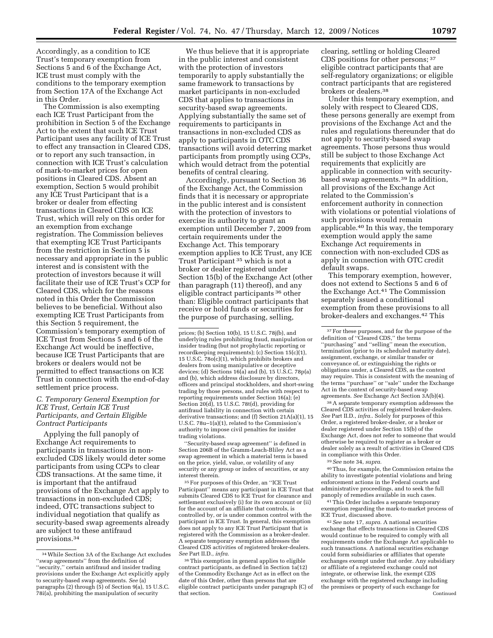Accordingly, as a condition to ICE Trust's temporary exemption from Sections 5 and 6 of the Exchange Act, ICE trust must comply with the conditions to the temporary exemption from Section 17A of the Exchange Act in this Order.

The Commission is also exempting each ICE Trust Participant from the prohibition in Section 5 of the Exchange Act to the extent that such ICE Trust Participant uses any facility of ICE Trust to effect any transaction in Cleared CDS, or to report any such transaction, in connection with ICE Trust's calculation of mark-to-market prices for open positions in Cleared CDS. Absent an exemption, Section 5 would prohibit any ICE Trust Participant that is a broker or dealer from effecting transactions in Cleared CDS on ICE Trust, which will rely on this order for an exemption from exchange registration. The Commission believes that exempting ICE Trust Participants from the restriction in Section 5 is necessary and appropriate in the public interest and is consistent with the protection of investors because it will facilitate their use of ICE Trust's CCP for Cleared CDS, which for the reasons noted in this Order the Commission believes to be beneficial. Without also exempting ICE Trust Participants from this Section 5 requirement, the Commission's temporary exemption of ICE Trust from Sections 5 and 6 of the Exchange Act would be ineffective, because ICE Trust Participants that are brokers or dealers would not be permitted to effect transactions on ICE Trust in connection with the end-of-day settlement price process.

# *C. Temporary General Exemption for ICE Trust, Certain ICE Trust Participants, and Certain Eligible Contract Participants*

Applying the full panoply of Exchange Act requirements to participants in transactions in nonexcluded CDS likely would deter some participants from using CCPs to clear CDS transactions. At the same time, it is important that the antifraud provisions of the Exchange Act apply to transactions in non-excluded CDS; indeed, OTC transactions subject to individual negotiation that qualify as security-based swap agreements already are subject to these antifraud provisions.34

We thus believe that it is appropriate in the public interest and consistent with the protection of investors temporarily to apply substantially the same framework to transactions by market participants in non-excluded CDS that applies to transactions in security-based swap agreements. Applying substantially the same set of requirements to participants in transactions in non-excluded CDS as apply to participants in OTC CDS transactions will avoid deterring market participants from promptly using CCPs, which would detract from the potential benefits of central clearing.

Accordingly, pursuant to Section 36 of the Exchange Act, the Commission finds that it is necessary or appropriate in the public interest and is consistent with the protection of investors to exercise its authority to grant an exemption until December 7, 2009 from certain requirements under the Exchange Act. This temporary exemption applies to ICE Trust, any ICE Trust Participant 35 which is not a broker or dealer registered under Section 15(b) of the Exchange Act (other than paragraph (11) thereof), and any eligible contract participants 36 other than: Eligible contract participants that receive or hold funds or securities for the purpose of purchasing, selling,

''Security-based swap agreement'' is defined in Section 206B of the Gramm-Leach-Bliley Act as a swap agreement in which a material term is based on the price, yield, value, or volatility of any security or any group or index of securities, or any interest therein.

 $^{\rm 35}\,$  For purposes of this Order, an ''ICE Trust Participant'' means any participant in ICE Trust that submits Cleared CDS to ICE Trust for clearance and settlement exclusively (i) for its own account or (ii) for the account of an affiliate that controls, is controlled by, or is under common control with the participant in ICE Trust. In general, this exemption does not apply to any ICE Trust Participant that is registered with the Commission as a broker-dealer. A separate temporary exemption addresses the Cleared CDS activities of registered broker-dealers. *See* Part II.D., *infra.* 

36This exemption in general applies to eligible contract participants, as defined in Section 1a(12) of the Commodity Exchange Act as in effect on the date of this Order, other than persons that are eligible contract participants under paragraph (C) of that section.

clearing, settling or holding Cleared CDS positions for other persons; 37 eligible contract participants that are self-regulatory organizations; or eligible contract participants that are registered brokers or dealers.38

Under this temporary exemption, and solely with respect to Cleared CDS, these persons generally are exempt from provisions of the Exchange Act and the rules and regulations thereunder that do not apply to security-based swap agreements. Those persons thus would still be subject to those Exchange Act requirements that explicitly are applicable in connection with securitybased swap agreements.39 In addition, all provisions of the Exchange Act related to the Commission's enforcement authority in connection with violations or potential violations of such provisions would remain applicable.40 In this way, the temporary exemption would apply the same Exchange Act requirements in connection with non-excluded CDS as apply in connection with OTC credit default swaps.

This temporary exemption, however, does not extend to Sections 5 and 6 of the Exchange Act.41 The Commission separately issued a conditional exemption from these provisions to all broker-dealers and exchanges.42 This

38A separate temporary exemption addresses the Cleared CDS activities of registered broker-dealers. *See* Part II.D., *infra.*. Solely for purposes of this Order, a registered broker-dealer, or a broker or dealer registered under Section 15(b) of the Exchange Act, does not refer to someone that would otherwise be required to register as a broker or dealer solely as a result of activities in Cleared CDS in compliance with this Order.

39*See* note 34, *supra.* 

40Thus, for example, the Commission retains the ability to investigate potential violations and bring enforcement actions in the Federal courts and administrative proceedings, and to seek the full panoply of remedies available in such cases.

41This Order includes a separate temporary exemption regarding the mark-to-market process of ICE Trust, discussed above.

42*See* note 17, *supra.* A national securities exchange that effects transactions in Cleared CDS would continue to be required to comply with all requirements under the Exchange Act applicable to such transactions. A national securities exchange could form subsidiaries or affiliates that operate exchanges exempt under that order. Any subsidiary or affiliate of a registered exchange could not integrate, or otherwise link, the exempt CDS exchange with the registered exchange including the premises or property of such exchange for Continued

<sup>34</sup>While Section 3A of the Exchange Act excludes ''swap agreements'' from the definition of ''security,'' certain antifraud and insider trading provisions under the Exchange Act explicitly apply to security-based swap agreements. *See* (a) paragraphs (2) through (5) of Section 9(a), 15 U.S.C. 78i(a), prohibiting the manipulation of security

prices; (b) Section 10(b), 15 U.S.C. 78j(b), and underlying rules prohibiting fraud, manipulation or insider trading (but not prophylactic reporting or recordkeeping requirements); (c) Section 15(c)(1), 15 U.S.C. 78o(c)(1), which prohibits brokers and dealers from using manipulative or deceptive devices; (d) Sections 16(a) and (b), 15 U.S.C. 78p(a) and (b), which address disclosure by directors, officers and principal stockholders, and short-swing trading by those persons, and rules with respect to reporting requirements under Section 16(a); (e) Section 20(d), 15 U.S.C. 78t(d), providing for antifraud liability in connection with certain derivative transactions; and (f) Section 21A(a)(1), 15 U.S.C. 78u–1(a)(1), related to the Commission's authority to impose civil penalties for insider trading violations.

<sup>&</sup>lt;sup>37</sup> For these purposes, and for the purpose of the definition of ''Cleared CDS,'' the terms ''purchasing'' and ''selling'' mean the execution, termination (prior to its scheduled maturity date), assignment, exchange, or similar transfer or conveyance of, or extinguishing the rights or obligations under, a Cleared CDS, as the context may require. This is consistent with the meaning of the terms ''purchase'' or ''sale'' under the Exchange Act in the context of security-based swap agreements. *See* Exchange Act Section 3A(b)(4).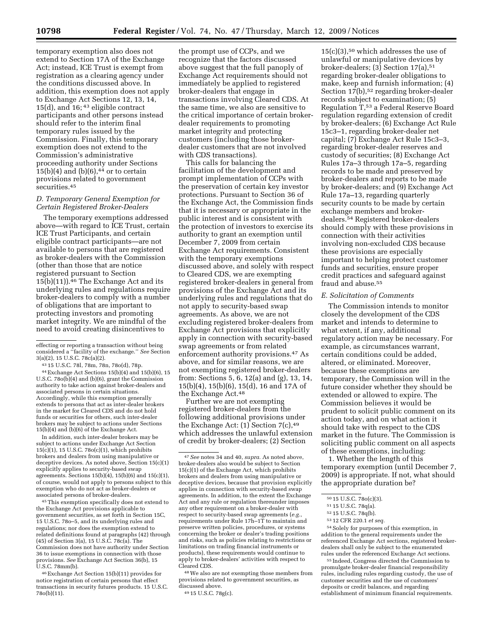temporary exemption also does not extend to Section 17A of the Exchange Act; instead, ICE Trust is exempt from registration as a clearing agency under the conditions discussed above. In addition, this exemption does not apply to Exchange Act Sections 12, 13, 14, 15(d), and 16; 43 eligible contract participants and other persons instead should refer to the interim final temporary rules issued by the Commission. Finally, this temporary exemption does not extend to the Commission's administrative proceeding authority under Sections  $15(b)(4)$  and  $(b)(6),<sup>44</sup>$  or to certain provisions related to government securities.45

# *D. Temporary General Exemption for Certain Registered Broker-Dealers*

The temporary exemptions addressed above—with regard to ICE Trust, certain ICE Trust Participants, and certain eligible contract participants—are not available to persons that are registered as broker-dealers with the Commission (other than those that are notice registered pursuant to Section  $15(b)(11)$ .<sup>46</sup> The Exchange Act and its underlying rules and regulations require broker-dealers to comply with a number of obligations that are important to protecting investors and promoting market integrity. We are mindful of the need to avoid creating disincentives to

43 15 U.S.C. 78l, 78m, 78n, 78o(d), 78p. 44Exchange Act Sections 15(b)(4) and 15(b)(6), 15 U.S.C. 78o(b)(4) and (b)(6), grant the Commission authority to take action against broker-dealers and associated persons in certain situations. Accordingly, while this exemption generally extends to persons that act as inter-dealer brokers in the market for Cleared CDS and do not hold funds or securities for others, such inter-dealer brokers may be subject to actions under Sections 15(b)(4) and (b)(6) of the Exchange Act.

In addition, such inter-dealer brokers may be subject to actions under Exchange Act Section 15(c)(1), 15 U.S.C. 78o(c)(1), which prohibits brokers and dealers from using manipulative or deceptive devices. As noted above, Section 15(c)(1) explicitly applies to security-based swap agreements. Sections 15(b)(4), 15(b)(6) and 15(c)(1), of course, would not apply to persons subject to this exemption who do not act as broker-dealers or associated persons of broker-dealers.

45This exemption specifically does not extend to the Exchange Act provisions applicable to government securities, as set forth in Section 15C, 15 U.S.C. 78o–5, and its underlying rules and regulations; nor does the exemption extend to related definitions found at paragraphs (42) through (45) of Section 3(a), 15 U.S.C. 78c(a). The Commission does not have authority under Section 36 to issue exemptions in connection with those provisions. *See* Exchange Act Section 36(b), 15 U.S.C. 78mm(b).

46Exchange Act Section 15(b)(11) provides for notice registration of certain persons that effect transactions in security futures products. 15 U.S.C. 78o(b)(11).

the prompt use of CCPs, and we recognize that the factors discussed above suggest that the full panoply of Exchange Act requirements should not immediately be applied to registered broker-dealers that engage in transactions involving Cleared CDS. At the same time, we also are sensitive to the critical importance of certain brokerdealer requirements to promoting market integrity and protecting customers (including those brokerdealer customers that are not involved with CDS transactions).

This calls for balancing the facilitation of the development and prompt implementation of CCPs with the preservation of certain key investor protections. Pursuant to Section 36 of the Exchange Act, the Commission finds that it is necessary or appropriate in the public interest and is consistent with the protection of investors to exercise its authority to grant an exemption until December 7, 2009 from certain Exchange Act requirements. Consistent with the temporary exemptions discussed above, and solely with respect to Cleared CDS, we are exempting registered broker-dealers in general from provisions of the Exchange Act and its underlying rules and regulations that do not apply to security-based swap agreements. As above, we are not excluding registered broker-dealers from Exchange Act provisions that explicitly apply in connection with security-based swap agreements or from related enforcement authority provisions.47 As above, and for similar reasons, we are not exempting registered broker-dealers from: Sections 5, 6, 12(a) and (g), 13, 14, 15(b)(4), 15(b)(6), 15(d), 16 and 17A of the Exchange Act.<sup>48</sup>

Further we are not exempting registered broker-dealers from the following additional provisions under the Exchange Act:  $(1)$  Section 7(c), 49 which addresses the unlawful extension of credit by broker-dealers; (2) Section

48We also are not exempting those members from provisions related to government securities, as discussed above.

 $15(c)(3)$ ,<sup>50</sup> which addresses the use of unlawful or manipulative devices by broker-dealers; (3) Section  $17(a)$ ,  $51$ regarding broker-dealer obligations to make, keep and furnish information; (4) Section 17(b),<sup>52</sup> regarding broker-dealer records subject to examination; (5) Regulation T,53 a Federal Reserve Board regulation regarding extension of credit by broker-dealers; (6) Exchange Act Rule 15c3–1, regarding broker-dealer net capital; (7) Exchange Act Rule 15c3–3, regarding broker-dealer reserves and custody of securities; (8) Exchange Act Rules 17a–3 through 17a–5, regarding records to be made and preserved by broker-dealers and reports to be made by broker-dealers; and (9) Exchange Act Rule 17a–13, regarding quarterly security counts to be made by certain exchange members and brokerdealers.54 Registered broker-dealers should comply with these provisions in connection with their activities involving non-excluded CDS because these provisions are especially important to helping protect customer funds and securities, ensure proper credit practices and safeguard against fraud and abuse.55

#### *E. Solicitation of Comments*

The Commission intends to monitor closely the development of the CDS market and intends to determine to what extent, if any, additional regulatory action may be necessary. For example, as circumstances warrant, certain conditions could be added, altered, or eliminated. Moreover, because these exemptions are temporary, the Commission will in the future consider whether they should be extended or allowed to expire. The Commission believes it would be prudent to solicit public comment on its action today, and on what action it should take with respect to the CDS market in the future. The Commission is soliciting public comment on all aspects of these exemptions, including:

1. Whether the length of this temporary exemption (until December 7, 2009) is appropriate. If not, what should the appropriate duration be?

54Solely for purposes of this exemption, in addition to the general requirements under the referenced Exchange Act sections, registered brokerdealers shall only be subject to the enumerated rules under the referenced Exchange Act sections.

55 Indeed, Congress directed the Commission to promulgate broker-dealer financial responsibility rules, including rules regarding custody, the use of customer securities and the use of customers' deposits or credit balances, and regarding establishment of minimum financial requirements.

effecting or reporting a transaction without being considered a ''facility of the exchange.'' *See* Section 3(a)(2), 15 U.S.C. 78c(a)(2).

<sup>47</sup>*See* notes 34 and 40, *supra.* As noted above, broker-dealers also would be subject to Section 15(c)(1) of the Exchange Act, which prohibits brokers and dealers from using manipulative or deceptive devices, because that provision explicitly applies in connection with security-based swap agreements. In addition, to the extent the Exchange Act and any rule or regulation thereunder imposes any other requirement on a broker-dealer with respect to security-based swap agreements (*e.g.*, requirements under Rule 17h–1T to maintain and preserve written policies, procedures, or systems concerning the broker or dealer's trading positions and risks, such as policies relating to restrictions or limitations on trading financial instruments or products), these requirements would continue to apply to broker-dealers' activities with respect to Cleared CDS.

<sup>49</sup> 15 U.S.C. 78g(c).

<sup>50</sup> 15 U.S.C. 78o(c)(3).

<sup>51</sup> 15 U.S.C. 78q(a).

<sup>52</sup> 15 U.S.C. 78q(b).

<sup>53</sup> 12 CFR 220.1 *et seq.*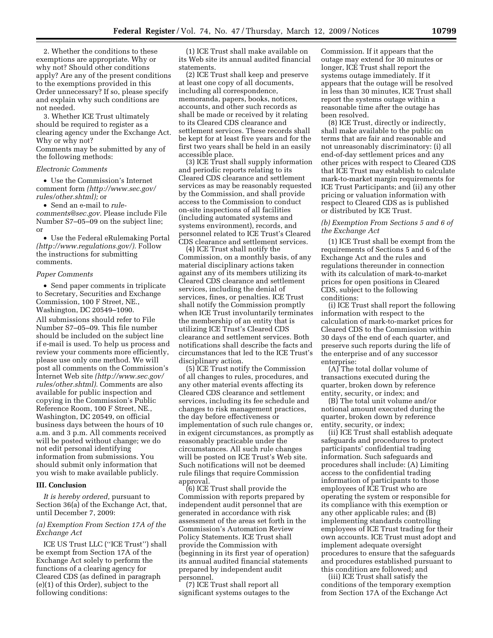2. Whether the conditions to these exemptions are appropriate. Why or why not? Should other conditions apply? Are any of the present conditions to the exemptions provided in this Order unnecessary? If so, please specify and explain why such conditions are not needed.

3. Whether ICE Trust ultimately should be required to register as a clearing agency under the Exchange Act. Why or why not?

Comments may be submitted by any of the following methods:

#### *Electronic Comments*

• Use the Commission's Internet comment form *(http://www.sec.gov/ rules/other.shtml);* or

• Send an e-mail to *rulecomments@sec.gov.* Please include File Number S7–05–09 on the subject line; or

• Use the Federal eRulemaking Portal *(http://www.regulations.gov/).* Follow the instructions for submitting comments.

#### *Paper Comments*

• Send paper comments in triplicate to Secretary, Securities and Exchange Commission, 100 F Street, NE., Washington, DC 20549–1090.

All submissions should refer to File Number S7–05–09. This file number should be included on the subject line if e-mail is used. To help us process and review your comments more efficiently, please use only one method. We will post all comments on the Commission's Internet Web site *(http://www.sec.gov/ rules/other.shtml).* Comments are also available for public inspection and copying in the Commission's Public Reference Room, 100 F Street, NE., Washington, DC 20549, on official business days between the hours of 10 a.m. and 3 p.m. All comments received will be posted without change; we do not edit personal identifying information from submissions. You should submit only information that you wish to make available publicly.

#### **III. Conclusion**

*It is hereby ordered,* pursuant to Section 36(a) of the Exchange Act, that, until December 7, 2009:

### *(a) Exemption From Section 17A of the Exchange Act*

ICE US Trust LLC (''ICE Trust'') shall be exempt from Section 17A of the Exchange Act solely to perform the functions of a clearing agency for Cleared CDS (as defined in paragraph (e)(1) of this Order), subject to the following conditions:

(1) ICE Trust shall make available on its Web site its annual audited financial statements.

(2) ICE Trust shall keep and preserve at least one copy of all documents, including all correspondence, memoranda, papers, books, notices, accounts, and other such records as shall be made or received by it relating to its Cleared CDS clearance and settlement services. These records shall be kept for at least five years and for the first two years shall be held in an easily accessible place.

(3) ICE Trust shall supply information and periodic reports relating to its Cleared CDS clearance and settlement services as may be reasonably requested by the Commission, and shall provide access to the Commission to conduct on-site inspections of all facilities (including automated systems and systems environment), records, and personnel related to ICE Trust's Cleared CDS clearance and settlement services.

(4) ICE Trust shall notify the Commission, on a monthly basis, of any material disciplinary actions taken against any of its members utilizing its Cleared CDS clearance and settlement services, including the denial of services, fines, or penalties. ICE Trust shall notify the Commission promptly when ICE Trust involuntarily terminates the membership of an entity that is utilizing ICE Trust's Cleared CDS clearance and settlement services. Both notifications shall describe the facts and circumstances that led to the ICE Trust's disciplinary action.

(5) ICE Trust notify the Commission of all changes to rules, procedures, and any other material events affecting its Cleared CDS clearance and settlement services, including its fee schedule and changes to risk management practices, the day before effectiveness or implementation of such rule changes or, in exigent circumstances, as promptly as reasonably practicable under the circumstances. All such rule changes will be posted on ICE Trust's Web site. Such notifications will not be deemed rule filings that require Commission approval.

(6) ICE Trust shall provide the Commission with reports prepared by independent audit personnel that are generated in accordance with risk assessment of the areas set forth in the Commission's Automation Review Policy Statements. ICE Trust shall provide the Commission with (beginning in its first year of operation) its annual audited financial statements prepared by independent audit personnel.

(7) ICE Trust shall report all significant systems outages to the Commission. If it appears that the outage may extend for 30 minutes or longer, ICE Trust shall report the systems outage immediately. If it appears that the outage will be resolved in less than 30 minutes, ICE Trust shall report the systems outage within a reasonable time after the outage has been resolved.

(8) ICE Trust, directly or indirectly, shall make available to the public on terms that are fair and reasonable and not unreasonably discriminatory: (i) all end-of-day settlement prices and any other prices with respect to Cleared CDS that ICE Trust may establish to calculate mark-to-market margin requirements for ICE Trust Participants; and (ii) any other pricing or valuation information with respect to Cleared CDS as is published or distributed by ICE Trust.

### *(b) Exemption From Sections 5 and 6 of the Exchange Act*

(1) ICE Trust shall be exempt from the requirements of Sections 5 and 6 of the Exchange Act and the rules and regulations thereunder in connection with its calculation of mark-to-market prices for open positions in Cleared CDS, subject to the following conditions:

(i) ICE Trust shall report the following information with respect to the calculation of mark-to-market prices for Cleared CDS to the Commission within 30 days of the end of each quarter, and preserve such reports during the life of the enterprise and of any successor enterprise:

(A) The total dollar volume of transactions executed during the quarter, broken down by reference entity, security, or index; and

(B) The total unit volume and/or notional amount executed during the quarter, broken down by reference entity, security, or index;

(ii) ICE Trust shall establish adequate safeguards and procedures to protect participants' confidential trading information. Such safeguards and procedures shall include: (A) Limiting access to the confidential trading information of participants to those employees of ICE Trust who are operating the system or responsible for its compliance with this exemption or any other applicable rules; and (B) implementing standards controlling employees of ICE Trust trading for their own accounts. ICE Trust must adopt and implement adequate oversight procedures to ensure that the safeguards and procedures established pursuant to this condition are followed; and

(iii) ICE Trust shall satisfy the conditions of the temporary exemption from Section 17A of the Exchange Act